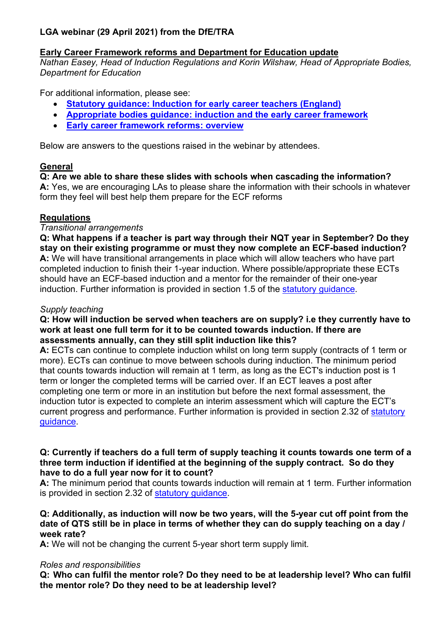# **LGA webinar (29 April 2021) from the DfE/TRA**

# **Early Career Framework reforms and Department for Education update**

*Nathan Easey, Head of Induction Regulations and Korin Wilshaw, Head of Appropriate Bodies, Department for Education*

For additional information, please see:

- **[Statutory guidance: Induction for early career teachers \(England\)](https://www.gov.uk/government/publications/induction-for-early-career-teachers-england?utm_source=email&utm_medium=email&utm_campaign=statguidance)**
- **[Appropriate bodies guidance: induction and the early career framework](https://www.gov.uk/government/publications/appropriate-bodies-guidance-induction-and-the-early-career-framework?utm_source=email&utm_medium=email&utm_campaign=statguidance)**
- **[Early career framework reforms: overview](https://www.gov.uk/government/publications/early-career-framework-reforms-overview/early-career-framework-reforms-overview?utm_source=email&utm_medium=email&utm_campaign=statguidance)**

Below are answers to the questions raised in the webinar by attendees.

# **General**

# **Q: Are we able to share these slides with schools when cascading the information?**

**A:** Yes, we are encouraging LAs to please share the information with their schools in whatever form they feel will best help them prepare for the ECF reforms

# **Regulations**

# *Transitional arrangements*

**Q: What happens if a teacher is part way through their NQT year in September? Do they stay on their existing programme or must they now complete an ECF-based induction? A:** We will have transitional arrangements in place which will allow teachers who have part completed induction to finish their 1-year induction. Where possible/appropriate these ECTs should have an ECF-based induction and a mentor for the remainder of their one-year induction. Further information is provided in section 1.5 of the [statutory guidance.](https://www.gov.uk/government/publications/induction-for-early-career-teachers-england)

# *Supply teaching*

#### **Q: How will induction be served when teachers are on supply? i.e they currently have to work at least one full term for it to be counted towards induction. If there are assessments annually, can they still split induction like this?**

**A:** ECTs can continue to complete induction whilst on long term supply (contracts of 1 term or more). ECTs can continue to move between schools during induction. The minimum period that counts towards induction will remain at 1 term, as long as the ECT's induction post is 1 term or longer the completed terms will be carried over. If an ECT leaves a post after completing one term or more in an institution but before the next formal assessment, the induction tutor is expected to complete an interim assessment which will capture the ECT's current progress and performance. Further information is provided in section 2.32 of [statutory](https://www.gov.uk/government/publications/induction-for-early-career-teachers-england)  [guidance.](https://www.gov.uk/government/publications/induction-for-early-career-teachers-england)

#### **Q: Currently if teachers do a full term of supply teaching it counts towards one term of a three term induction if identified at the beginning of the supply contract. So do they have to do a full year now for it to count?**

**A:** The minimum period that counts towards induction will remain at 1 term. Further information is provided in section 2.32 of [statutory guidance.](https://www.gov.uk/government/publications/induction-for-early-career-teachers-england)

# **Q: Additionally, as induction will now be two years, will the 5-year cut off point from the date of QTS still be in place in terms of whether they can do supply teaching on a day / week rate?**

**A:** We will not be changing the current 5-year short term supply limit.

# *Roles and responsibilities*

**Q: Who can fulfil the mentor role? Do they need to be at leadership level? Who can fulfil the mentor role? Do they need to be at leadership level?**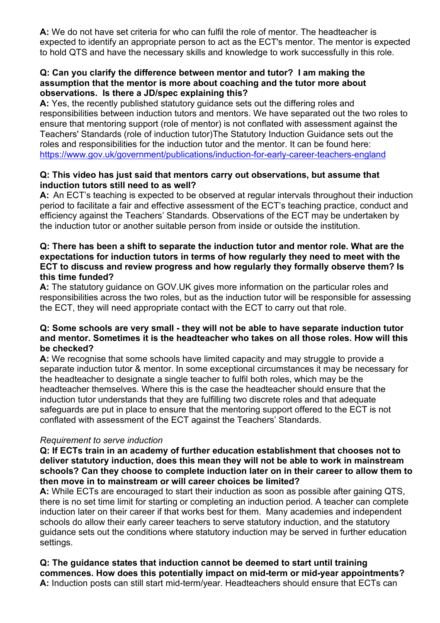**A:** We do not have set criteria for who can fulfil the role of mentor. The headteacher is expected to identify an appropriate person to act as the ECT's mentor. The mentor is expected to hold QTS and have the necessary skills and knowledge to work successfully in this role.

### **Q: Can you clarify the difference between mentor and tutor? I am making the assumption that the mentor is more about coaching and the tutor more about observations. Is there a JD/spec explaining this?**

**A:** Yes, the recently published statutory guidance sets out the differing roles and responsibilities between induction tutors and mentors. We have separated out the two roles to ensure that mentoring support (role of mentor) is not conflated with assessment against the Teachers' Standards (role of induction tutor)The Statutory Induction Guidance sets out the roles and responsibilities for the induction tutor and the mentor. It can be found here: <https://www.gov.uk/government/publications/induction-for-early-career-teachers-england>

# **Q: This video has just said that mentors carry out observations, but assume that induction tutors still need to as well?**

**A:** An ECT's teaching is expected to be observed at regular intervals throughout their induction period to facilitate a fair and effective assessment of the ECT's teaching practice, conduct and efficiency against the Teachers' Standards. Observations of the ECT may be undertaken by the induction tutor or another suitable person from inside or outside the institution.

### **Q: There has been a shift to separate the induction tutor and mentor role. What are the expectations for induction tutors in terms of how regularly they need to meet with the ECT to discuss and review progress and how regularly they formally observe them? Is this time funded?**

**A:** The statutory guidance on GOV.UK gives more information on the particular roles and responsibilities across the two roles, but as the induction tutor will be responsible for assessing the ECT, they will need appropriate contact with the ECT to carry out that role.

### **Q: Some schools are very small - they will not be able to have separate induction tutor and mentor. Sometimes it is the headteacher who takes on all those roles. How will this be checked?**

**A:** We recognise that some schools have limited capacity and may struggle to provide a separate induction tutor & mentor. In some exceptional circumstances it may be necessary for the headteacher to designate a single teacher to fulfil both roles, which may be the headteacher themselves. Where this is the case the headteacher should ensure that the induction tutor understands that they are fulfilling two discrete roles and that adequate safeguards are put in place to ensure that the mentoring support offered to the ECT is not conflated with assessment of the ECT against the Teachers' Standards.

# *Requirement to serve induction*

### **Q: If ECTs train in an academy of further education establishment that chooses not to deliver statutory induction, does this mean they will not be able to work in mainstream schools? Can they choose to complete induction later on in their career to allow them to then move in to mainstream or will career choices be limited?**

**A:** While ECTs are encouraged to start their induction as soon as possible after gaining QTS, there is no set time limit for starting or completing an induction period. A teacher can complete induction later on their career if that works best for them. Many academies and independent schools do allow their early career teachers to serve statutory induction, and the statutory guidance sets out the conditions where statutory induction may be served in further education settings.

**Q: The guidance states that induction cannot be deemed to start until training commences. How does this potentially impact on mid-term or mid-year appointments? A:** Induction posts can still start mid-term/year. Headteachers should ensure that ECTs can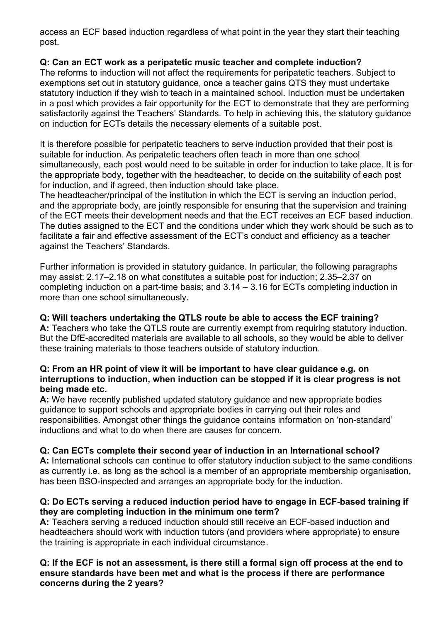access an ECF based induction regardless of what point in the year they start their teaching post.

# **Q: Can an ECT work as a peripatetic music teacher and complete induction?**

The reforms to induction will not affect the requirements for peripatetic teachers. Subject to exemptions set out in statutory guidance, once a teacher gains QTS they must undertake statutory induction if they wish to teach in a maintained school. Induction must be undertaken in a post which provides a fair opportunity for the ECT to demonstrate that they are performing satisfactorily against the Teachers' Standards. To help in achieving this, the statutory guidance on induction for ECTs details the necessary elements of a suitable post.

It is therefore possible for peripatetic teachers to serve induction provided that their post is suitable for induction. As peripatetic teachers often teach in more than one school simultaneously, each post would need to be suitable in order for induction to take place. It is for the appropriate body, together with the headteacher, to decide on the suitability of each post for induction, and if agreed, then induction should take place.

The headteacher/principal of the institution in which the ECT is serving an induction period, and the appropriate body, are jointly responsible for ensuring that the supervision and training of the ECT meets their development needs and that the ECT receives an ECF based induction. The duties assigned to the ECT and the conditions under which they work should be such as to facilitate a fair and effective assessment of the ECT's conduct and efficiency as a teacher against the Teachers' Standards.

Further information is provided in statutory guidance. In particular, the following paragraphs may assist: 2.17–2.18 on what constitutes a suitable post for induction; 2.35–2.37 on completing induction on a part-time basis; and 3.14 – 3.16 for ECTs completing induction in more than one school simultaneously.

# **Q: Will teachers undertaking the QTLS route be able to access the ECF training?**

**A:** Teachers who take the QTLS route are currently exempt from requiring statutory induction. But the DfE-accredited materials are available to all schools, so they would be able to deliver these training materials to those teachers outside of statutory induction.

### **Q: From an HR point of view it will be important to have clear guidance e.g. on interruptions to induction, when induction can be stopped if it is clear progress is not being made etc.**

**A:** We have recently published updated statutory guidance and new appropriate bodies guidance to support schools and appropriate bodies in carrying out their roles and responsibilities. Amongst other things the guidance contains information on 'non-standard' inductions and what to do when there are causes for concern.

# **Q: Can ECTs complete their second year of induction in an International school?**

**A:** International schools can continue to offer statutory induction subject to the same conditions as currently i.e. as long as the school is a member of an appropriate membership organisation, has been BSO-inspected and arranges an appropriate body for the induction.

# **Q: Do ECTs serving a reduced induction period have to engage in ECF-based training if they are completing induction in the minimum one term?**

**A:** Teachers serving a reduced induction should still receive an ECF-based induction and headteachers should work with induction tutors (and providers where appropriate) to ensure the training is appropriate in each individual circumstance.

### **Q: If the ECF is not an assessment, is there still a formal sign off process at the end to ensure standards have been met and what is the process if there are performance concerns during the 2 years?**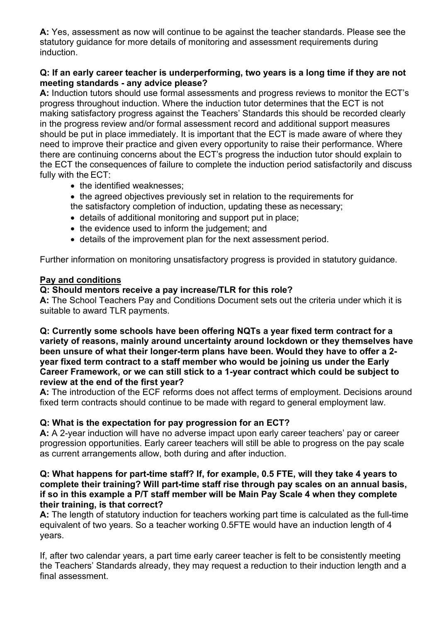**A:** Yes, assessment as now will continue to be against the teacher standards. Please see the statutory guidance for more details of monitoring and assessment requirements during induction.

# **Q: If an early career teacher is underperforming, two years is a long time if they are not meeting standards - any advice please?**

**A:** Induction tutors should use formal assessments and progress reviews to monitor the ECT's progress throughout induction. Where the induction tutor determines that the ECT is not making satisfactory progress against the Teachers' Standards this should be recorded clearly in the progress review and/or formal assessment record and additional support measures should be put in place immediately. It is important that the ECT is made aware of where they need to improve their practice and given every opportunity to raise their performance. Where there are continuing concerns about the ECT's progress the induction tutor should explain to the ECT the consequences of failure to complete the induction period satisfactorily and discuss fully with the ECT:

- the identified weaknesses:
- the agreed objectives previously set in relation to the requirements for
- the satisfactory completion of induction, updating these as necessary;
- details of additional monitoring and support put in place;
- the evidence used to inform the judgement; and
- details of the improvement plan for the next assessment period.

Further information on monitoring unsatisfactory progress is provided in statutory guidance.

### **Pay and conditions**

## **Q: Should mentors receive a pay increase/TLR for this role?**

**A:** The School Teachers Pay and Conditions Document sets out the criteria under which it is suitable to award TLR payments.

### **Q: Currently some schools have been offering NQTs a year fixed term contract for a variety of reasons, mainly around uncertainty around lockdown or they themselves have been unsure of what their longer-term plans have been. Would they have to offer a 2 year fixed term contract to a staff member who would be joining us under the Early Career Framework, or we can still stick to a 1-year contract which could be subject to review at the end of the first year?**

**A:** The introduction of the ECF reforms does not affect terms of employment. Decisions around fixed term contracts should continue to be made with regard to general employment law.

# **Q: What is the expectation for pay progression for an ECT?**

**A:** A 2-year induction will have no adverse impact upon early career teachers' pay or career progression opportunities. Early career teachers will still be able to progress on the pay scale as current arrangements allow, both during and after induction.

#### **Q: What happens for part-time staff? If, for example, 0.5 FTE, will they take 4 years to complete their training? Will part-time staff rise through pay scales on an annual basis, if so in this example a P/T staff member will be Main Pay Scale 4 when they complete their training, is that correct?**

**A:** The length of statutory induction for teachers working part time is calculated as the full-time equivalent of two years. So a teacher working 0.5FTE would have an induction length of 4 years.

If, after two calendar years, a part time early career teacher is felt to be consistently meeting the Teachers' Standards already, they may request a reduction to their induction length and a final assessment.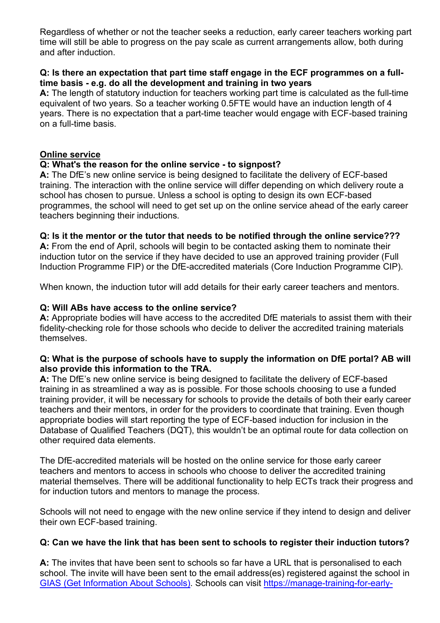Regardless of whether or not the teacher seeks a reduction, early career teachers working part time will still be able to progress on the pay scale as current arrangements allow, both during and after induction.

### **Q: Is there an expectation that part time staff engage in the ECF programmes on a fulltime basis - e.g. do all the development and training in two years**

**A:** The length of statutory induction for teachers working part time is calculated as the full-time equivalent of two years. So a teacher working 0.5FTE would have an induction length of 4 years. There is no expectation that a part-time teacher would engage with ECF-based training on a full-time basis.

### **Online service**

### **Q: What's the reason for the online service - to signpost?**

**A:** The DfE's new online service is being designed to facilitate the delivery of ECF-based training. The interaction with the online service will differ depending on which delivery route a school has chosen to pursue. Unless a school is opting to design its own ECF-based programmes, the school will need to get set up on the online service ahead of the early career teachers beginning their inductions.

## **Q: Is it the mentor or the tutor that needs to be notified through the online service???**

**A:** From the end of April, schools will begin to be contacted asking them to nominate their induction tutor on the service if they have decided to use an approved training provider (Full Induction Programme FIP) or the DfE-accredited materials (Core Induction Programme CIP).

When known, the induction tutor will add details for their early career teachers and mentors.

### **Q: Will ABs have access to the online service?**

**A:** Appropriate bodies will have access to the accredited DfE materials to assist them with their fidelity-checking role for those schools who decide to deliver the accredited training materials themselves.

## **Q: What is the purpose of schools have to supply the information on DfE portal? AB will also provide this information to the TRA.**

**A:** The DfE's new online service is being designed to facilitate the delivery of ECF-based training in as streamlined a way as is possible. For those schools choosing to use a funded training provider, it will be necessary for schools to provide the details of both their early career teachers and their mentors, in order for the providers to coordinate that training. Even though appropriate bodies will start reporting the type of ECF-based induction for inclusion in the Database of Qualified Teachers (DQT), this wouldn't be an optimal route for data collection on other required data elements.

The DfE-accredited materials will be hosted on the online service for those early career teachers and mentors to access in schools who choose to deliver the accredited training material themselves. There will be additional functionality to help ECTs track their progress and for induction tutors and mentors to manage the process.

Schools will not need to engage with the new online service if they intend to design and deliver their own ECF-based training.

### **Q: Can we have the link that has been sent to schools to register their induction tutors?**

**A:** The invites that have been sent to schools so far have a URL that is personalised to each school. The invite will have been sent to the email address(es) registered against the school in [GIAS \(Get Information About Schools\).](https://www.gov.uk/guidance/get-information-about-schools) Schools can visit [https://manage-training-for-early-](https://manage-training-for-early-career-teachers.education.gov.uk/)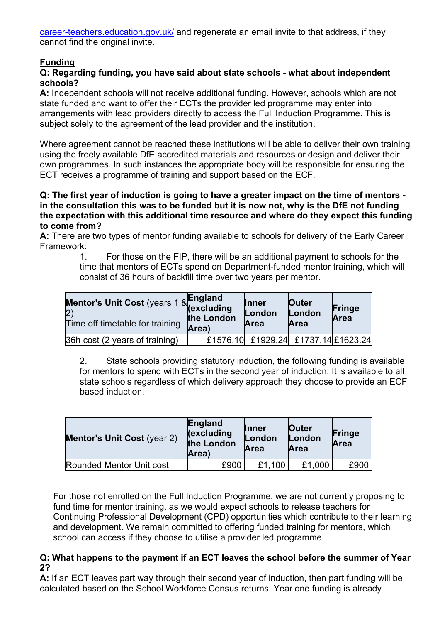[career-teachers.education.gov.uk/](https://manage-training-for-early-career-teachers.education.gov.uk/) and regenerate an email invite to that address, if they cannot find the original invite.

# **Funding**

# **Q: Regarding funding, you have said about state schools - what about independent schools?**

**A:** Independent schools will not receive additional funding. However, schools which are not state funded and want to offer their ECTs the provider led programme may enter into arrangements with lead providers directly to access the Full Induction Programme. This is subject solely to the agreement of the lead provider and the institution.

Where agreement cannot be reached these institutions will be able to deliver their own training using the freely available DfE accredited materials and resources or design and deliver their own programmes. In such instances the appropriate body will be responsible for ensuring the ECT receives a programme of training and support based on the ECF.

### **Q: The first year of induction is going to have a greater impact on the time of mentors in the consultation this was to be funded but it is now not, why is the DfE not funding the expectation with this additional time resource and where do they expect this funding to come from?**

**A:** There are two types of mentor funding available to schools for delivery of the Early Career Framework:

> 1. For those on the FIP, there will be an additional payment to schools for the time that mentors of ECTs spend on Department-funded mentor training, which will consist of 36 hours of backfill time over two years per mentor.

| Mentor's Unit Cost (years 1 & rigiding<br>(2)<br>Time off timetable for training | the London<br>Area) | <b>Inner</b><br>London<br>Area      | Outer<br>London<br>Area | Fringe<br><b>Area</b> |
|----------------------------------------------------------------------------------|---------------------|-------------------------------------|-------------------------|-----------------------|
| 36h cost (2 years of training)                                                   |                     | £1576.10 £1929.24 £1737.14 £1623.24 |                         |                       |

2. State schools providing statutory induction, the following funding is available for mentors to spend with ECTs in the second year of induction. It is available to all state schools regardless of which delivery approach they choose to provide an ECF based induction.

| <b>Mentor's Unit Cost (year 2)</b> | <b>England</b><br><i><b>(excluding)</b></i><br>the London<br>Area) | <b>Inner</b><br>London<br>Area | <b>Outer</b><br>London<br><b>Area</b> | Fringe<br>Area |
|------------------------------------|--------------------------------------------------------------------|--------------------------------|---------------------------------------|----------------|
| Rounded Mentor Unit cost           | £900                                                               | £1.100                         | £1,000                                | £900           |

For those not enrolled on the Full Induction Programme, we are not currently proposing to fund time for mentor training, as we would expect schools to release teachers for Continuing Professional Development (CPD) opportunities which contribute to their learning and development. We remain committed to offering funded training for mentors, which school can access if they choose to utilise a provider led programme

## **Q: What happens to the payment if an ECT leaves the school before the summer of Year 2?**

**A:** If an ECT leaves part way through their second year of induction, then part funding will be calculated based on the School Workforce Census returns. Year one funding is already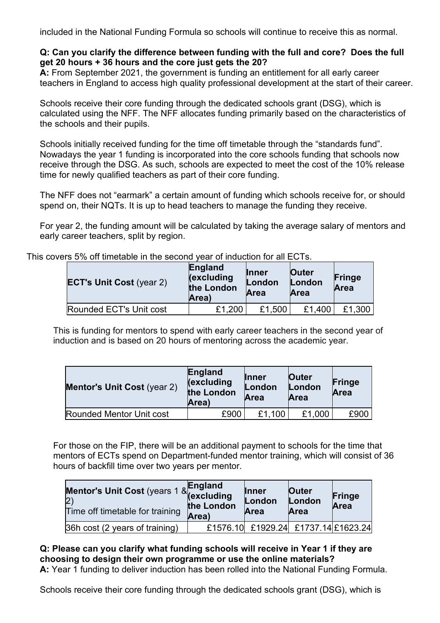included in the National Funding Formula so schools will continue to receive this as normal.

### **Q: Can you clarify the difference between funding with the full and core? Does the full get 20 hours + 36 hours and the core just gets the 20?**

**A:** From September 2021, the government is funding an entitlement for all early career teachers in England to access high quality professional development at the start of their career.

Schools receive their core funding through the dedicated schools grant (DSG), which is calculated using the NFF. The NFF allocates funding primarily based on the characteristics of the schools and their pupils.

Schools initially received funding for the time off timetable through the "standards fund". Nowadays the year 1 funding is incorporated into the core schools funding that schools now receive through the DSG. As such, schools are expected to meet the cost of the 10% release time for newly qualified teachers as part of their core funding.

The NFF does not "earmark" a certain amount of funding which schools receive for, or should spend on, their NQTs. It is up to head teachers to manage the funding they receive.

For year 2, the funding amount will be calculated by taking the average salary of mentors and early career teachers, split by region.

|  | <u>VEIS J70 UII (IIIIE(ADIE III (IIE SECUIJU VEAL UI IIIUUCIJUI IUI AII LUTS.</u><br><b>Outer</b><br>London | Fringe              |                       |        |             |
|--|-------------------------------------------------------------------------------------------------------------|---------------------|-----------------------|--------|-------------|
|  | <b>ECT's Unit Cost (year 2)</b>                                                                             | the London<br>Area) | London<br><b>Area</b> | Area   | <b>Area</b> |
|  | Rounded ECT's Unit cost                                                                                     | £1,200              | £1,500                | £1,400 | £1,300      |

This covers 5% off timetable in the second year of induction for all ECTs.

This is funding for mentors to spend with early career teachers in the second year of induction and is based on 20 hours of mentoring across the academic year.

| <b>Mentor's Unit Cost (year 2)</b> | <b>England</b><br><i><b>(excluding)</b></i><br>the London<br>Area) | <b>Inner</b><br>London<br>Area | <b>Outer</b><br>London<br>Area | Fringe<br>Area |
|------------------------------------|--------------------------------------------------------------------|--------------------------------|--------------------------------|----------------|
| Rounded Mentor Unit cost           | £900                                                               | £1.100                         | £1,000                         | £900           |

For those on the FIP, there will be an additional payment to schools for the time that mentors of ECTs spend on Department-funded mentor training, which will consist of 36 hours of backfill time over two years per mentor.

| Mentor's Unit Cost (years 1 & England<br>2)<br>(2)<br>Time off timetable for training | the London<br>Area) | <b>Inner</b><br>London<br>Area | <b>Outer</b><br>London<br>Area      | Fringe<br>Area |
|---------------------------------------------------------------------------------------|---------------------|--------------------------------|-------------------------------------|----------------|
| 36h cost (2 years of training)                                                        |                     |                                | £1576.10 £1929.24 £1737.14 £1623.24 |                |

**Q: Please can you clarify what funding schools will receive in Year 1 if they are choosing to design their own programme or use the online materials?**

**A:** Year 1 funding to deliver induction has been rolled into the National Funding Formula.

Schools receive their core funding through the dedicated schools grant (DSG), which is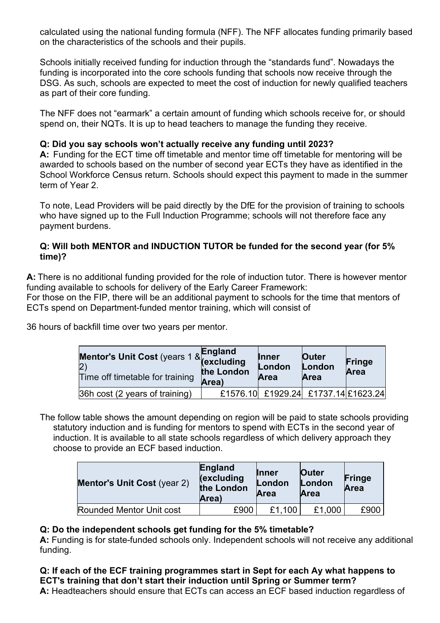calculated using the national funding formula (NFF). The NFF allocates funding primarily based on the characteristics of the schools and their pupils.

Schools initially received funding for induction through the "standards fund". Nowadays the funding is incorporated into the core schools funding that schools now receive through the DSG. As such, schools are expected to meet the cost of induction for newly qualified teachers as part of their core funding.

The NFF does not "earmark" a certain amount of funding which schools receive for, or should spend on, their NQTs. It is up to head teachers to manage the funding they receive.

# **Q: Did you say schools won't actually receive any funding until 2023?**

**A:** Funding for the ECT time off timetable and mentor time off timetable for mentoring will be awarded to schools based on the number of second year ECTs they have as identified in the School Workforce Census return. Schools should expect this payment to made in the summer term of Year 2.

To note, Lead Providers will be paid directly by the DfE for the provision of training to schools who have signed up to the Full Induction Programme; schools will not therefore face any payment burdens.

# **Q: Will both MENTOR and INDUCTION TUTOR be funded for the second year (for 5% time)?**

**A:** There is no additional funding provided for the role of induction tutor. There is however mentor funding available to schools for delivery of the Early Career Framework:

For those on the FIP, there will be an additional payment to schools for the time that mentors of ECTs spend on Department-funded mentor training, which will consist of

36 hours of backfill time over two years per mentor.

| Mentor's Unit Cost (years 1 & Linguing<br>Time off timetable for training | <b>England</b><br>the London<br>Area) | <b>Inner</b><br>London<br>Area | <b>Outer</b><br>London<br>Area      | <b>Fringe</b><br>Area |
|---------------------------------------------------------------------------|---------------------------------------|--------------------------------|-------------------------------------|-----------------------|
| 36h cost (2 years of training)                                            |                                       |                                | £1576.10 £1929.24 £1737.14 £1623.24 |                       |

The follow table shows the amount depending on region will be paid to state schools providing statutory induction and is funding for mentors to spend with ECTs in the second year of induction. It is available to all state schools regardless of which delivery approach they choose to provide an ECF based induction.

| <b>Mentor's Unit Cost (year 2)</b> | England<br><i><b>(excluding)</b></i><br>the London<br>Area) | <b>Inner</b><br>London<br><b>Area</b> | <b>Outer</b><br>London<br><b>Area</b> | <b>Fringe</b><br>Area |
|------------------------------------|-------------------------------------------------------------|---------------------------------------|---------------------------------------|-----------------------|
| Rounded Mentor Unit cost           | £900                                                        | £1.100                                | £1,000                                | £900                  |

# **Q: Do the independent schools get funding for the 5% timetable?**

**A:** Funding is for state-funded schools only. Independent schools will not receive any additional funding.

**Q: If each of the ECF training programmes start in Sept for each Ay what happens to ECT's training that don't start their induction until Spring or Summer term? A:** Headteachers should ensure that ECTs can access an ECF based induction regardless of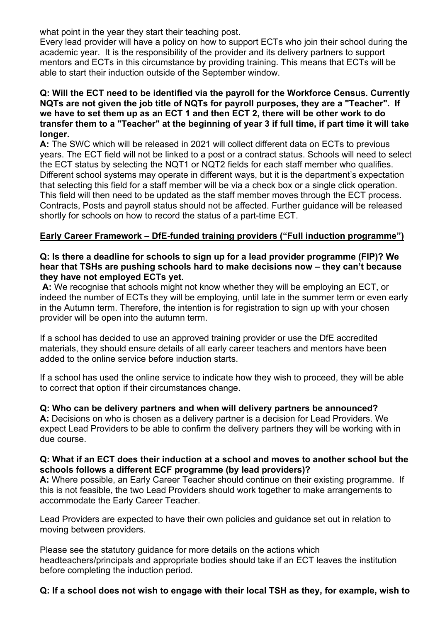what point in the year they start their teaching post.

Every lead provider will have a policy on how to support ECTs who join their school during the academic year. It is the responsibility of the provider and its delivery partners to support mentors and ECTs in this circumstance by providing training. This means that ECTs will be able to start their induction outside of the September window.

### **Q: Will the ECT need to be identified via the payroll for the Workforce Census. Currently NQTs are not given the job title of NQTs for payroll purposes, they are a "Teacher". If we have to set them up as an ECT 1 and then ECT 2, there will be other work to do transfer them to a "Teacher" at the beginning of year 3 if full time, if part time it will take longer.**

**A:** The SWC which will be released in 2021 will collect different data on ECTs to previous years. The ECT field will not be linked to a post or a contract status. Schools will need to select the ECT status by selecting the NQT1 or NQT2 fields for each staff member who qualifies. Different school systems may operate in different ways, but it is the department's expectation that selecting this field for a staff member will be via a check box or a single click operation. This field will then need to be updated as the staff member moves through the ECT process. Contracts, Posts and payroll status should not be affected. Further guidance will be released shortly for schools on how to record the status of a part-time ECT.

# **Early Career Framework – DfE-funded training providers ("Full induction programme")**

### **Q: Is there a deadline for schools to sign up for a lead provider programme (FIP)? We hear that TSHs are pushing schools hard to make decisions now – they can't because they have not employed ECTs yet.**

**A:** We recognise that schools might not know whether they will be employing an ECT, or indeed the number of ECTs they will be employing, until late in the summer term or even early in the Autumn term. Therefore, the intention is for registration to sign up with your chosen provider will be open into the autumn term.

If a school has decided to use an approved training provider or use the DfE accredited materials, they should ensure details of all early career teachers and mentors have been added to the online service before induction starts.

If a school has used the online service to indicate how they wish to proceed, they will be able to correct that option if their circumstances change.

### **Q: Who can be delivery partners and when will delivery partners be announced?**

**A:** Decisions on who is chosen as a delivery partner is a decision for Lead Providers. We expect Lead Providers to be able to confirm the delivery partners they will be working with in due course.

### **Q: What if an ECT does their induction at a school and moves to another school but the schools follows a different ECF programme (by lead providers)?**

**A:** Where possible, an Early Career Teacher should continue on their existing programme. If this is not feasible, the two Lead Providers should work together to make arrangements to accommodate the Early Career Teacher.

Lead Providers are expected to have their own policies and guidance set out in relation to moving between providers.

Please see the statutory guidance for more details on the actions which headteachers/principals and appropriate bodies should take if an ECT leaves the institution before completing the induction period.

# **Q: If a school does not wish to engage with their local TSH as they, for example, wish to**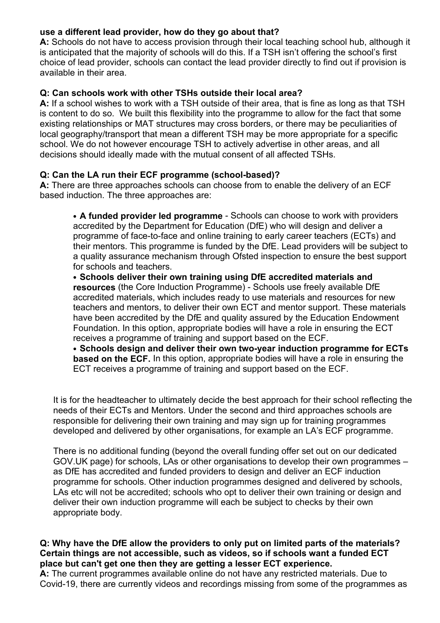# **use a different lead provider, how do they go about that?**

**A:** Schools do not have to access provision through their local teaching school hub, although it is anticipated that the majority of schools will do this. If a TSH isn't offering the school's first choice of lead provider, schools can contact the lead provider directly to find out if provision is available in their area.

### **Q: Can schools work with other TSHs outside their local area?**

**A:** If a school wishes to work with a TSH outside of their area, that is fine as long as that TSH is content to do so. We built this flexibility into the programme to allow for the fact that some existing relationships or MAT structures may cross borders, or there may be peculiarities of local geography/transport that mean a different TSH may be more appropriate for a specific school. We do not however encourage TSH to actively advertise in other areas, and all decisions should ideally made with the mutual consent of all affected TSHs.

## **Q: Can the LA run their ECF programme (school-based)?**

**A:** There are three approaches schools can choose from to enable the delivery of an ECF based induction. The three approaches are:

• **A funded provider led programme** - Schools can choose to work with providers accredited by the Department for Education (DfE) who will design and deliver a programme of face-to-face and online training to early career teachers (ECTs) and their mentors. This programme is funded by the DfE. Lead providers will be subject to a quality assurance mechanism through Ofsted inspection to ensure the best support for schools and teachers.

• **Schools deliver their own training using DfE accredited materials and resources** (the Core Induction Programme) - Schools use freely available DfE accredited materials, which includes ready to use materials and resources for new teachers and mentors, to deliver their own ECT and mentor support. These materials have been accredited by the DfE and quality assured by the Education Endowment Foundation. In this option, appropriate bodies will have a role in ensuring the ECT receives a programme of training and support based on the ECF.

• **Schools design and deliver their own two-year induction programme for ECTs based on the ECF.** In this option, appropriate bodies will have a role in ensuring the ECT receives a programme of training and support based on the ECF.

It is for the headteacher to ultimately decide the best approach for their school reflecting the needs of their ECTs and Mentors. Under the second and third approaches schools are responsible for delivering their own training and may sign up for training programmes developed and delivered by other organisations, for example an LA's ECF programme.

There is no additional funding (beyond the overall funding offer set out on our dedicated GOV.UK page) for schools, LAs or other organisations to develop their own programmes – as DfE has accredited and funded providers to design and deliver an ECF induction programme for schools. Other induction programmes designed and delivered by schools, LAs etc will not be accredited; schools who opt to deliver their own training or design and deliver their own induction programme will each be subject to checks by their own appropriate body.

### **Q: Why have the DfE allow the providers to only put on limited parts of the materials? Certain things are not accessible, such as videos, so if schools want a funded ECT place but can't get one then they are getting a lesser ECT experience.**

**A:** The current programmes available online do not have any restricted materials. Due to Covid-19, there are currently videos and recordings missing from some of the programmes as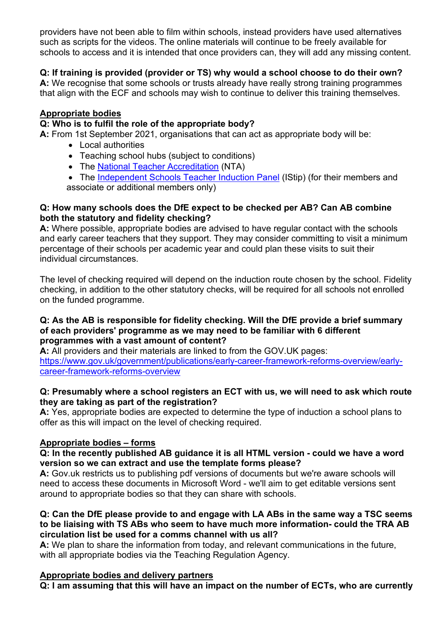providers have not been able to film within schools, instead providers have used alternatives such as scripts for the videos. The online materials will continue to be freely available for schools to access and it is intended that once providers can, they will add any missing content.

# **Q: If training is provided (provider or TS) why would a school choose to do their own?**

**A:** We recognise that some schools or trusts already have really strong training programmes that align with the ECF and schools may wish to continue to deliver this training themselves.

# **Appropriate bodies**

## **Q: Who is to fulfil the role of the appropriate body?**

**A:** From 1st September 2021, organisations that can act as appropriate body will be:

- Local authorities
- Teaching school hubs (subject to conditions)
- The [National Teacher Accreditation](https://nta.org.uk/) (NTA)
- The [Independent Schools Teacher Induction Panel](https://istip.co.uk/) (IStip) (for their members and associate or additional members only)

### **Q: How many schools does the DfE expect to be checked per AB? Can AB combine both the statutory and fidelity checking?**

**A:** Where possible, appropriate bodies are advised to have regular contact with the schools and early career teachers that they support. They may consider committing to visit a minimum percentage of their schools per academic year and could plan these visits to suit their individual circumstances.

The level of checking required will depend on the induction route chosen by the school. Fidelity checking, in addition to the other statutory checks, will be required for all schools not enrolled on the funded programme.

#### **Q: As the AB is responsible for fidelity checking. Will the DfE provide a brief summary of each providers' programme as we may need to be familiar with 6 different programmes with a vast amount of content?**

**A:** All providers and their materials are linked to from the GOV.UK pages: [https://www.gov.uk/government/publications/early-career-framework-reforms-overview/early](https://www.gov.uk/government/publications/early-career-framework-reforms-overview/early-career-framework-reforms-overview)[career-framework-reforms-overview](https://www.gov.uk/government/publications/early-career-framework-reforms-overview/early-career-framework-reforms-overview)

### **Q: Presumably where a school registers an ECT with us, we will need to ask which route they are taking as part of the registration?**

**A:** Yes, appropriate bodies are expected to determine the type of induction a school plans to offer as this will impact on the level of checking required.

# **Appropriate bodies – forms**

### **Q: In the recently published AB guidance it is all HTML version - could we have a word version so we can extract and use the template forms please?**

**A:** Gov.uk restricts us to publishing pdf versions of documents but we're aware schools will need to access these documents in Microsoft Word - we'll aim to get editable versions sent around to appropriate bodies so that they can share with schools.

#### **Q: Can the DfE please provide to and engage with LA ABs in the same way a TSC seems to be liaising with TS ABs who seem to have much more information- could the TRA AB circulation list be used for a comms channel with us all?**

**A:** We plan to share the information from today, and relevant communications in the future, with all appropriate bodies via the Teaching Regulation Agency.

### **Appropriate bodies and delivery partners**

**Q: I am assuming that this will have an impact on the number of ECTs, who are currently**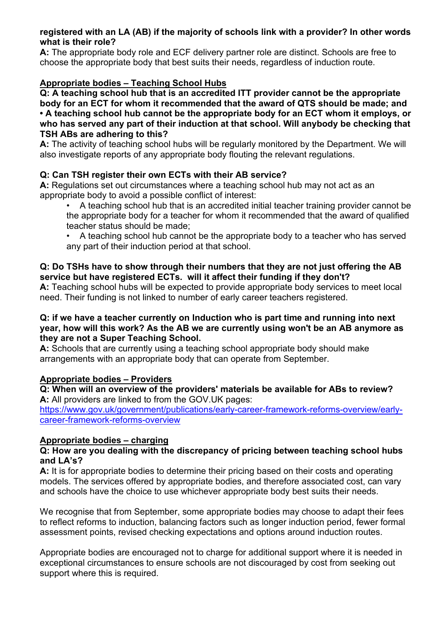### **registered with an LA (AB) if the majority of schools link with a provider? In other words what is their role?**

**A:** The appropriate body role and ECF delivery partner role are distinct. Schools are free to choose the appropriate body that best suits their needs, regardless of induction route.

# **Appropriate bodies – Teaching School Hubs**

**Q: A teaching school hub that is an accredited ITT provider cannot be the appropriate body for an ECT for whom it recommended that the award of QTS should be made; and • A teaching school hub cannot be the appropriate body for an ECT whom it employs, or who has served any part of their induction at that school. Will anybody be checking that TSH ABs are adhering to this?**

**A:** The activity of teaching school hubs will be regularly monitored by the Department. We will also investigate reports of any appropriate body flouting the relevant regulations.

## **Q: Can TSH register their own ECTs with their AB service?**

**A:** Regulations set out circumstances where a teaching school hub may not act as an appropriate body to avoid a possible conflict of interest:

• A teaching school hub that is an accredited initial teacher training provider cannot be the appropriate body for a teacher for whom it recommended that the award of qualified teacher status should be made;

• A teaching school hub cannot be the appropriate body to a teacher who has served any part of their induction period at that school.

# **Q: Do TSHs have to show through their numbers that they are not just offering the AB service but have registered ECTs. will it affect their funding if they don't?**

**A:** Teaching school hubs will be expected to provide appropriate body services to meet local need. Their funding is not linked to number of early career teachers registered.

### **Q: if we have a teacher currently on Induction who is part time and running into next year, how will this work? As the AB we are currently using won't be an AB anymore as they are not a Super Teaching School.**

**A:** Schools that are currently using a teaching school appropriate body should make arrangements with an appropriate body that can operate from September.

# **Appropriate bodies – Providers**

**Q: When will an overview of the providers' materials be available for ABs to review? A:** All providers are linked to from the GOV.UK pages:

[https://www.gov.uk/government/publications/early-career-framework-reforms-overview/early](https://www.gov.uk/government/publications/early-career-framework-reforms-overview/early-career-framework-reforms-overview)[career-framework-reforms-overview](https://www.gov.uk/government/publications/early-career-framework-reforms-overview/early-career-framework-reforms-overview)

### **Appropriate bodies – charging**

### **Q: How are you dealing with the discrepancy of pricing between teaching school hubs and LA's?**

**A:** It is for appropriate bodies to determine their pricing based on their costs and operating models. The services offered by appropriate bodies, and therefore associated cost, can vary and schools have the choice to use whichever appropriate body best suits their needs.

We recognise that from September, some appropriate bodies may choose to adapt their fees to reflect reforms to induction, balancing factors such as longer induction period, fewer formal assessment points, revised checking expectations and options around induction routes.

Appropriate bodies are encouraged not to charge for additional support where it is needed in exceptional circumstances to ensure schools are not discouraged by cost from seeking out support where this is required.